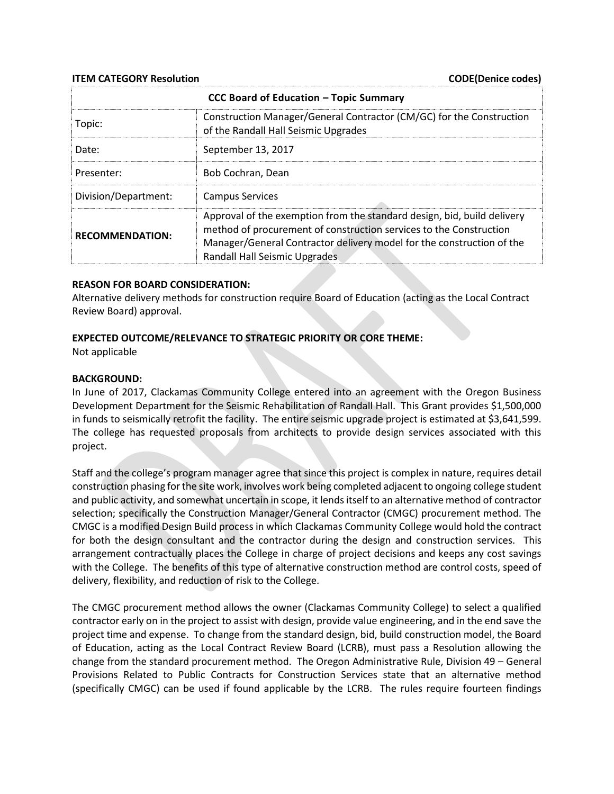**ITEM CATEGORY Resolution** CODE(Denice codes)

| CCC Board of Education - Topic Summary |                                                                                                                                                                                                                                                         |
|----------------------------------------|---------------------------------------------------------------------------------------------------------------------------------------------------------------------------------------------------------------------------------------------------------|
| Topic:                                 | Construction Manager/General Contractor (CM/GC) for the Construction<br>of the Randall Hall Seismic Upgrades                                                                                                                                            |
| Date:                                  | September 13, 2017                                                                                                                                                                                                                                      |
| Presenter:                             | Bob Cochran, Dean                                                                                                                                                                                                                                       |
| Division/Department:                   | <b>Campus Services</b>                                                                                                                                                                                                                                  |
| <b>RECOMMENDATION:</b>                 | Approval of the exemption from the standard design, bid, build delivery<br>method of procurement of construction services to the Construction<br>Manager/General Contractor delivery model for the construction of the<br>Randall Hall Seismic Upgrades |

#### **REASON FOR BOARD CONSIDERATION:**

Alternative delivery methods for construction require Board of Education (acting as the Local Contract Review Board) approval.

### **EXPECTED OUTCOME/RELEVANCE TO STRATEGIC PRIORITY OR CORE THEME:**

Not applicable

#### **BACKGROUND:**

In June of 2017, Clackamas Community College entered into an agreement with the Oregon Business Development Department for the Seismic Rehabilitation of Randall Hall. This Grant provides \$1,500,000 in funds to seismically retrofit the facility. The entire seismic upgrade project is estimated at \$3,641,599. The college has requested proposals from architects to provide design services associated with this project.

Staff and the college's program manager agree that since this project is complex in nature, requires detail construction phasing for the site work, involves work being completed adjacent to ongoing college student and public activity, and somewhat uncertain in scope, it lends itself to an alternative method of contractor selection; specifically the Construction Manager/General Contractor (CMGC) procurement method. The CMGC is a modified Design Build process in which Clackamas Community College would hold the contract for both the design consultant and the contractor during the design and construction services. This arrangement contractually places the College in charge of project decisions and keeps any cost savings with the College. The benefits of this type of alternative construction method are control costs, speed of delivery, flexibility, and reduction of risk to the College.

The CMGC procurement method allows the owner (Clackamas Community College) to select a qualified contractor early on in the project to assist with design, provide value engineering, and in the end save the project time and expense. To change from the standard design, bid, build construction model, the Board of Education, acting as the Local Contract Review Board (LCRB), must pass a Resolution allowing the change from the standard procurement method. The Oregon Administrative Rule, Division 49 – General Provisions Related to Public Contracts for Construction Services state that an alternative method (specifically CMGC) can be used if found applicable by the LCRB. The rules require fourteen findings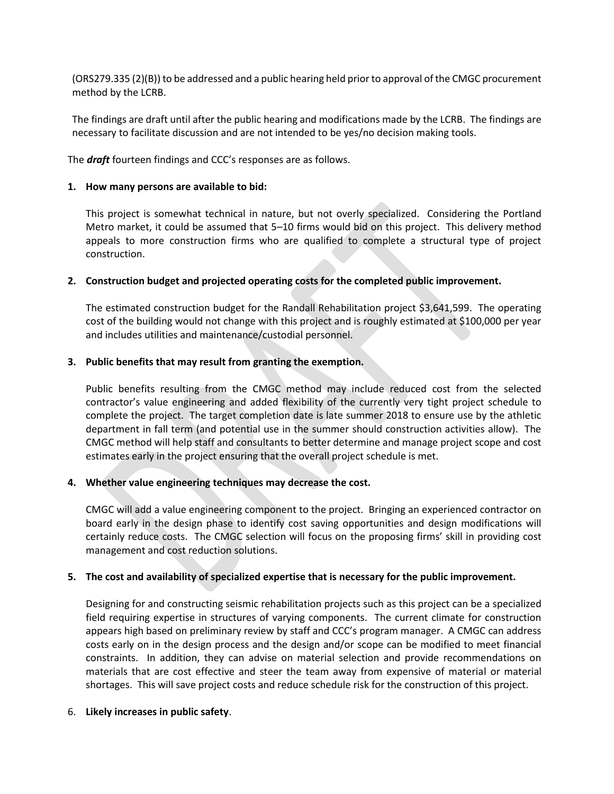(ORS279.335 (2)(B)) to be addressed and a public hearing held prior to approval of the CMGC procurement method by the LCRB.

The findings are draft until after the public hearing and modifications made by the LCRB. The findings are necessary to facilitate discussion and are not intended to be yes/no decision making tools.

The *draft* fourteen findings and CCC's responses are as follows.

### **1. How many persons are available to bid:**

This project is somewhat technical in nature, but not overly specialized. Considering the Portland Metro market, it could be assumed that 5–10 firms would bid on this project. This delivery method appeals to more construction firms who are qualified to complete a structural type of project construction.

# **2. Construction budget and projected operating costs for the completed public improvement.**

The estimated construction budget for the Randall Rehabilitation project \$3,641,599. The operating cost of the building would not change with this project and is roughly estimated at \$100,000 per year and includes utilities and maintenance/custodial personnel.

# **3. Public benefits that may result from granting the exemption.**

Public benefits resulting from the CMGC method may include reduced cost from the selected contractor's value engineering and added flexibility of the currently very tight project schedule to complete the project. The target completion date is late summer 2018 to ensure use by the athletic department in fall term (and potential use in the summer should construction activities allow). The CMGC method will help staff and consultants to better determine and manage project scope and cost estimates early in the project ensuring that the overall project schedule is met.

# **4. Whether value engineering techniques may decrease the cost.**

CMGC will add a value engineering component to the project. Bringing an experienced contractor on board early in the design phase to identify cost saving opportunities and design modifications will certainly reduce costs. The CMGC selection will focus on the proposing firms' skill in providing cost management and cost reduction solutions.

# **5. The cost and availability of specialized expertise that is necessary for the public improvement.**

Designing for and constructing seismic rehabilitation projects such as this project can be a specialized field requiring expertise in structures of varying components. The current climate for construction appears high based on preliminary review by staff and CCC's program manager. A CMGC can address costs early on in the design process and the design and/or scope can be modified to meet financial constraints. In addition, they can advise on material selection and provide recommendations on materials that are cost effective and steer the team away from expensive of material or material shortages. This will save project costs and reduce schedule risk for the construction of this project.

#### 6. **Likely increases in public safety**.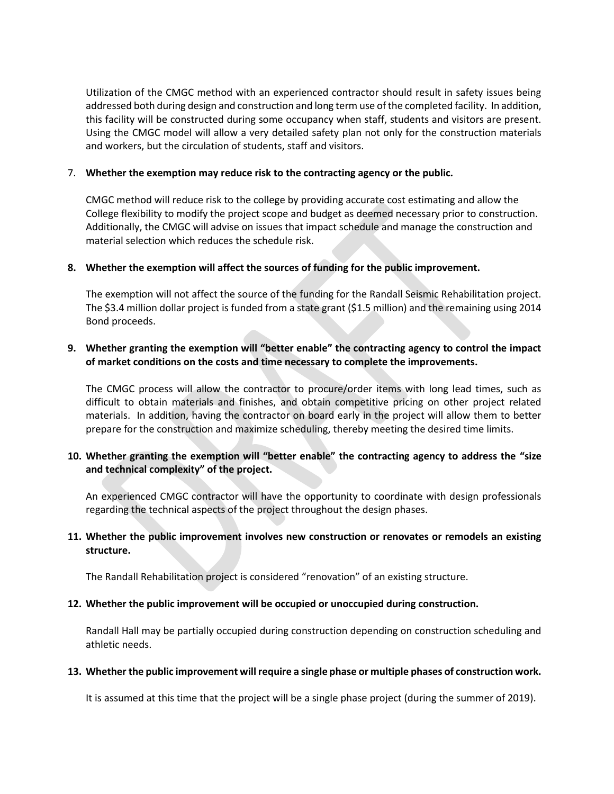Utilization of the CMGC method with an experienced contractor should result in safety issues being addressed both during design and construction and long term use of the completed facility. In addition, this facility will be constructed during some occupancy when staff, students and visitors are present. Using the CMGC model will allow a very detailed safety plan not only for the construction materials and workers, but the circulation of students, staff and visitors.

### 7. **Whether the exemption may reduce risk to the contracting agency or the public.**

CMGC method will reduce risk to the college by providing accurate cost estimating and allow the College flexibility to modify the project scope and budget as deemed necessary prior to construction. Additionally, the CMGC will advise on issues that impact schedule and manage the construction and material selection which reduces the schedule risk.

### **8. Whether the exemption will affect the sources of funding for the public improvement.**

The exemption will not affect the source of the funding for the Randall Seismic Rehabilitation project. The \$3.4 million dollar project is funded from a state grant (\$1.5 million) and the remaining using 2014 Bond proceeds.

# **9. Whether granting the exemption will "better enable" the contracting agency to control the impact of market conditions on the costs and time necessary to complete the improvements.**

The CMGC process will allow the contractor to procure/order items with long lead times, such as difficult to obtain materials and finishes, and obtain competitive pricing on other project related materials. In addition, having the contractor on board early in the project will allow them to better prepare for the construction and maximize scheduling, thereby meeting the desired time limits.

# **10. Whether granting the exemption will "better enable" the contracting agency to address the "size and technical complexity" of the project.**

An experienced CMGC contractor will have the opportunity to coordinate with design professionals regarding the technical aspects of the project throughout the design phases.

# **11. Whether the public improvement involves new construction or renovates or remodels an existing structure.**

The Randall Rehabilitation project is considered "renovation" of an existing structure.

# **12. Whether the public improvement will be occupied or unoccupied during construction.**

Randall Hall may be partially occupied during construction depending on construction scheduling and athletic needs.

#### **13. Whether the public improvement will require a single phase or multiple phases of construction work.**

It is assumed at this time that the project will be a single phase project (during the summer of 2019).